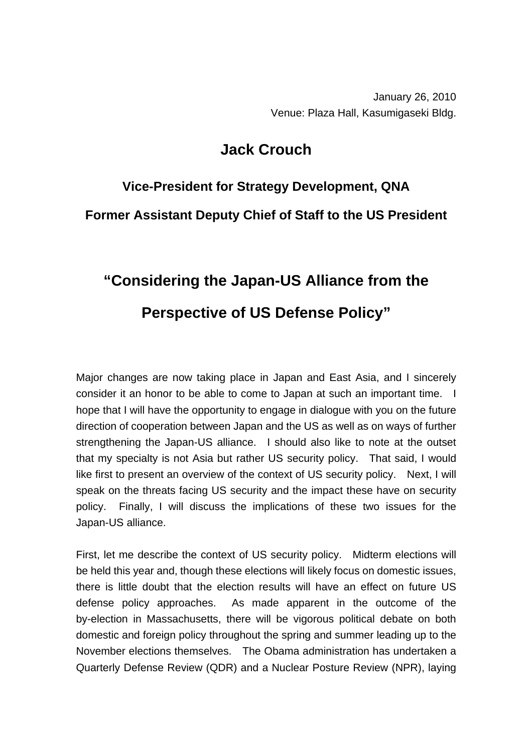January 26, 2010 Venue: Plaza Hall, Kasumigaseki Bldg.

## **Jack Crouch**

## **Vice-President for Strategy Development, QNA Former Assistant Deputy Chief of Staff to the US President**

## **"Considering the Japan-US Alliance from the Perspective of US Defense Policy"**

Major changes are now taking place in Japan and East Asia, and I sincerely consider it an honor to be able to come to Japan at such an important time. I hope that I will have the opportunity to engage in dialogue with you on the future direction of cooperation between Japan and the US as well as on ways of further strengthening the Japan-US alliance. I should also like to note at the outset that my specialty is not Asia but rather US security policy. That said, I would like first to present an overview of the context of US security policy. Next, I will speak on the threats facing US security and the impact these have on security policy. Finally, I will discuss the implications of these two issues for the Japan-US alliance.

First, let me describe the context of US security policy. Midterm elections will be held this year and, though these elections will likely focus on domestic issues, there is little doubt that the election results will have an effect on future US defense policy approaches. As made apparent in the outcome of the by-election in Massachusetts, there will be vigorous political debate on both domestic and foreign policy throughout the spring and summer leading up to the November elections themselves. The Obama administration has undertaken a Quarterly Defense Review (QDR) and a Nuclear Posture Review (NPR), laying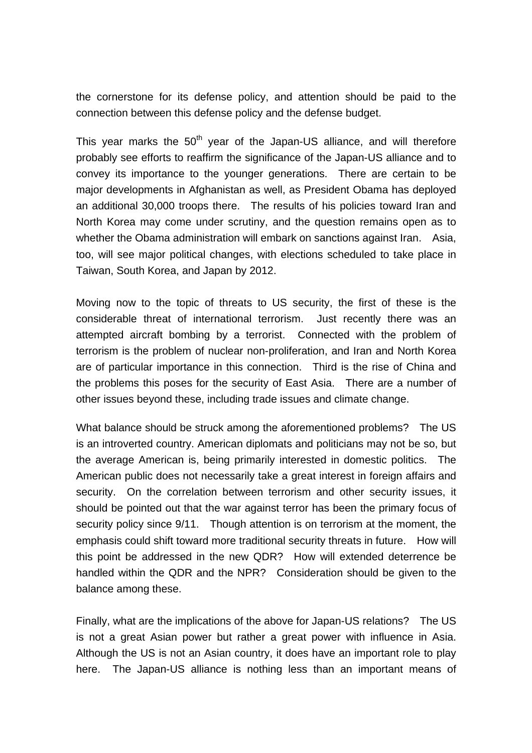the cornerstone for its defense policy, and attention should be paid to the connection between this defense policy and the defense budget.

This year marks the  $50<sup>th</sup>$  year of the Japan-US alliance, and will therefore probably see efforts to reaffirm the significance of the Japan-US alliance and to convey its importance to the younger generations. There are certain to be major developments in Afghanistan as well, as President Obama has deployed an additional 30,000 troops there. The results of his policies toward Iran and North Korea may come under scrutiny, and the question remains open as to whether the Obama administration will embark on sanctions against Iran. Asia, too, will see major political changes, with elections scheduled to take place in Taiwan, South Korea, and Japan by 2012.

Moving now to the topic of threats to US security, the first of these is the considerable threat of international terrorism. Just recently there was an attempted aircraft bombing by a terrorist. Connected with the problem of terrorism is the problem of nuclear non-proliferation, and Iran and North Korea are of particular importance in this connection. Third is the rise of China and the problems this poses for the security of East Asia. There are a number of other issues beyond these, including trade issues and climate change.

What balance should be struck among the aforementioned problems? The US is an introverted country. American diplomats and politicians may not be so, but the average American is, being primarily interested in domestic politics. The American public does not necessarily take a great interest in foreign affairs and security. On the correlation between terrorism and other security issues, it should be pointed out that the war against terror has been the primary focus of security policy since 9/11. Though attention is on terrorism at the moment, the emphasis could shift toward more traditional security threats in future. How will this point be addressed in the new QDR? How will extended deterrence be handled within the QDR and the NPR? Consideration should be given to the balance among these.

Finally, what are the implications of the above for Japan-US relations? The US is not a great Asian power but rather a great power with influence in Asia. Although the US is not an Asian country, it does have an important role to play here. The Japan-US alliance is nothing less than an important means of